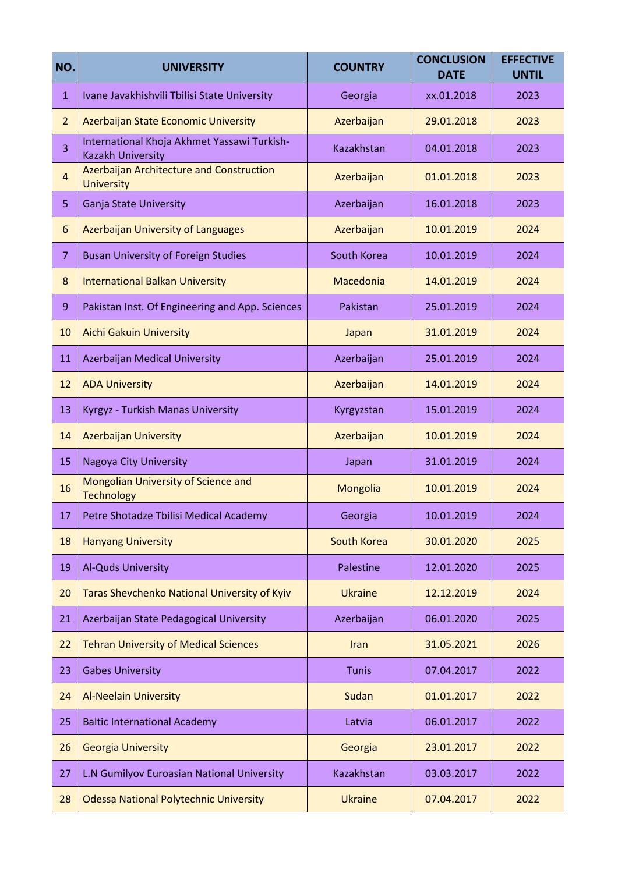| NO.            | <b>UNIVERSITY</b>                                                       | <b>COUNTRY</b>     | <b>CONCLUSION</b><br><b>DATE</b> | <b>EFFECTIVE</b><br><b>UNTIL</b> |
|----------------|-------------------------------------------------------------------------|--------------------|----------------------------------|----------------------------------|
| $\mathbf{1}$   | Ivane Javakhishvili Tbilisi State University                            | Georgia            | xx.01.2018                       | 2023                             |
| $\overline{2}$ | Azerbaijan State Economic University                                    | Azerbaijan         | 29.01.2018                       | 2023                             |
| 3              | International Khoja Akhmet Yassawi Turkish-<br><b>Kazakh University</b> | Kazakhstan         | 04.01.2018                       | 2023                             |
| $\overline{4}$ | Azerbaijan Architecture and Construction<br><b>University</b>           | Azerbaijan         | 01.01.2018                       | 2023                             |
| 5              | Ganja State University                                                  | Azerbaijan         | 16.01.2018                       | 2023                             |
| 6              | <b>Azerbaijan University of Languages</b>                               | Azerbaijan         | 10.01.2019                       | 2024                             |
| $\overline{7}$ | <b>Busan University of Foreign Studies</b>                              | South Korea        | 10.01.2019                       | 2024                             |
| 8              | <b>International Balkan University</b>                                  | Macedonia          | 14.01.2019                       | 2024                             |
| 9              | Pakistan Inst. Of Engineering and App. Sciences                         | Pakistan           | 25.01.2019                       | 2024                             |
| 10             | <b>Aichi Gakuin University</b>                                          | Japan              | 31.01.2019                       | 2024                             |
| 11             | Azerbaijan Medical University                                           | Azerbaijan         | 25.01.2019                       | 2024                             |
| 12             | <b>ADA University</b>                                                   | Azerbaijan         | 14.01.2019                       | 2024                             |
| 13             | Kyrgyz - Turkish Manas University                                       | Kyrgyzstan         | 15.01.2019                       | 2024                             |
| 14             | <b>Azerbaijan University</b>                                            | Azerbaijan         | 10.01.2019                       | 2024                             |
| 15             | Nagoya City University                                                  | Japan              | 31.01.2019                       | 2024                             |
| 16             | Mongolian University of Science and<br><b>Technology</b>                | Mongolia           | 10.01.2019                       | 2024                             |
| 17             | Petre Shotadze Tbilisi Medical Academy                                  | Georgia            | 10.01.2019                       | 2024                             |
| 18             | <b>Hanyang University</b>                                               | <b>South Korea</b> | 30.01.2020                       | 2025                             |
| 19             | Al-Quds University                                                      | Palestine          | 12.01.2020                       | 2025                             |
| 20             | Taras Shevchenko National University of Kyiv                            | <b>Ukraine</b>     | 12.12.2019                       | 2024                             |
| 21             | Azerbaijan State Pedagogical University                                 | Azerbaijan         | 06.01.2020                       | 2025                             |
| 22             | <b>Tehran University of Medical Sciences</b>                            | Iran               | 31.05.2021                       | 2026                             |
| 23             | <b>Gabes University</b>                                                 | <b>Tunis</b>       | 07.04.2017                       | 2022                             |
| 24             | <b>Al-Neelain University</b>                                            | Sudan              | 01.01.2017                       | 2022                             |
| 25             | <b>Baltic International Academy</b>                                     | Latvia             | 06.01.2017                       | 2022                             |
| 26             | <b>Georgia University</b>                                               | Georgia            | 23.01.2017                       | 2022                             |
| 27             | L.N Gumilyov Euroasian National University                              | Kazakhstan         | 03.03.2017                       | 2022                             |
| 28             | <b>Odessa National Polytechnic University</b>                           | <b>Ukraine</b>     | 07.04.2017                       | 2022                             |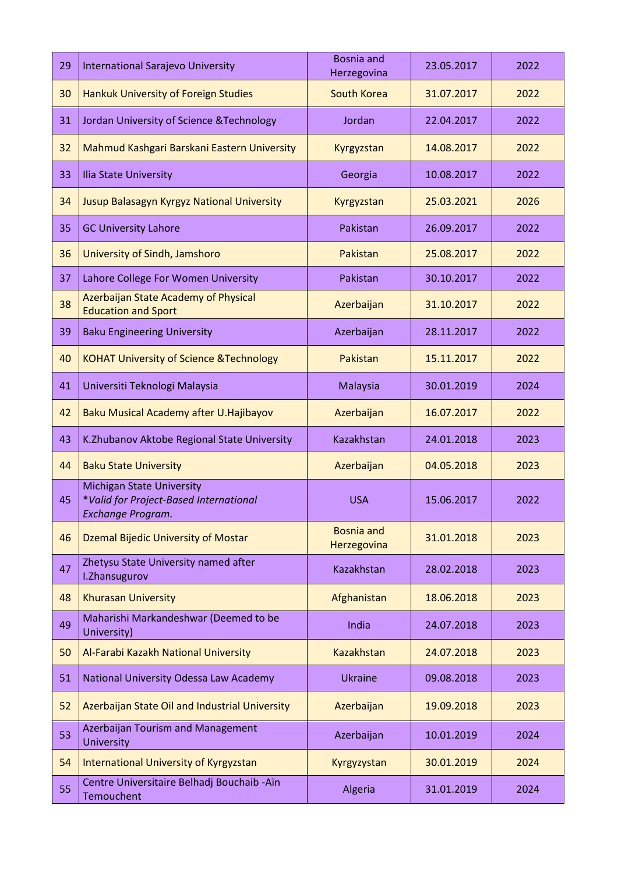| 29 | <b>International Sarajevo University</b>                                                        | Bosnia and<br>Herzegovina        | 23.05.2017 | 2022 |
|----|-------------------------------------------------------------------------------------------------|----------------------------------|------------|------|
| 30 | <b>Hankuk University of Foreign Studies</b>                                                     | South Korea                      | 31.07.2017 | 2022 |
| 31 | Jordan University of Science & Technology                                                       | Jordan                           | 22.04.2017 | 2022 |
| 32 | Mahmud Kashgari Barskani Eastern University                                                     | Kyrgyzstan                       | 14.08.2017 | 2022 |
| 33 | Ilia State University                                                                           | Georgia                          | 10.08.2017 | 2022 |
| 34 | Jusup Balasagyn Kyrgyz National University                                                      | Kyrgyzstan                       | 25.03.2021 | 2026 |
| 35 | <b>GC University Lahore</b>                                                                     | Pakistan                         | 26.09.2017 | 2022 |
| 36 | University of Sindh, Jamshoro                                                                   | Pakistan                         | 25.08.2017 | 2022 |
| 37 | Lahore College For Women University                                                             | Pakistan                         | 30.10.2017 | 2022 |
| 38 | Azerbaijan State Academy of Physical<br><b>Education and Sport</b>                              | Azerbaijan                       | 31.10.2017 | 2022 |
| 39 | <b>Baku Engineering University</b>                                                              | Azerbaijan                       | 28.11.2017 | 2022 |
| 40 | <b>KOHAT University of Science &amp; Technology</b>                                             | Pakistan                         | 15.11.2017 | 2022 |
| 41 | Universiti Teknologi Malaysia                                                                   | Malaysia                         | 30.01.2019 | 2024 |
| 42 | Baku Musical Academy after U. Hajibayov                                                         | Azerbaijan                       | 16.07.2017 | 2022 |
| 43 | K.Zhubanov Aktobe Regional State University                                                     | Kazakhstan                       | 24.01.2018 | 2023 |
| 44 | <b>Baku State University</b>                                                                    | Azerbaijan                       | 04.05.2018 | 2023 |
| 45 | <b>Michigan State University</b><br>*Valid for Project-Based International<br>Exchange Program. | <b>USA</b>                       | 15.06.2017 | 2022 |
| 46 | Dzemal Bijedic University of Mostar                                                             | <b>Bosnia and</b><br>Herzegovina | 31.01.2018 | 2023 |
| 47 |                                                                                                 |                                  |            |      |
|    | Zhetysu State University named after<br>I.Zhansugurov                                           | Kazakhstan                       | 28.02.2018 | 2023 |
| 48 | <b>Khurasan University</b>                                                                      | Afghanistan                      | 18.06.2018 | 2023 |
| 49 | Maharishi Markandeshwar (Deemed to be<br>University)                                            | India                            | 24.07.2018 | 2023 |
| 50 | Al-Farabi Kazakh National University                                                            | <b>Kazakhstan</b>                | 24.07.2018 | 2023 |
| 51 | National University Odessa Law Academy                                                          | <b>Ukraine</b>                   | 09.08.2018 | 2023 |
| 52 | Azerbaijan State Oil and Industrial University                                                  | Azerbaijan                       | 19.09.2018 | 2023 |
| 53 | <b>Azerbaijan Tourism and Management</b><br><b>University</b>                                   | Azerbaijan                       | 10.01.2019 | 2024 |
| 54 | <b>International University of Kyrgyzstan</b>                                                   | Kyrgyzystan                      | 30.01.2019 | 2024 |